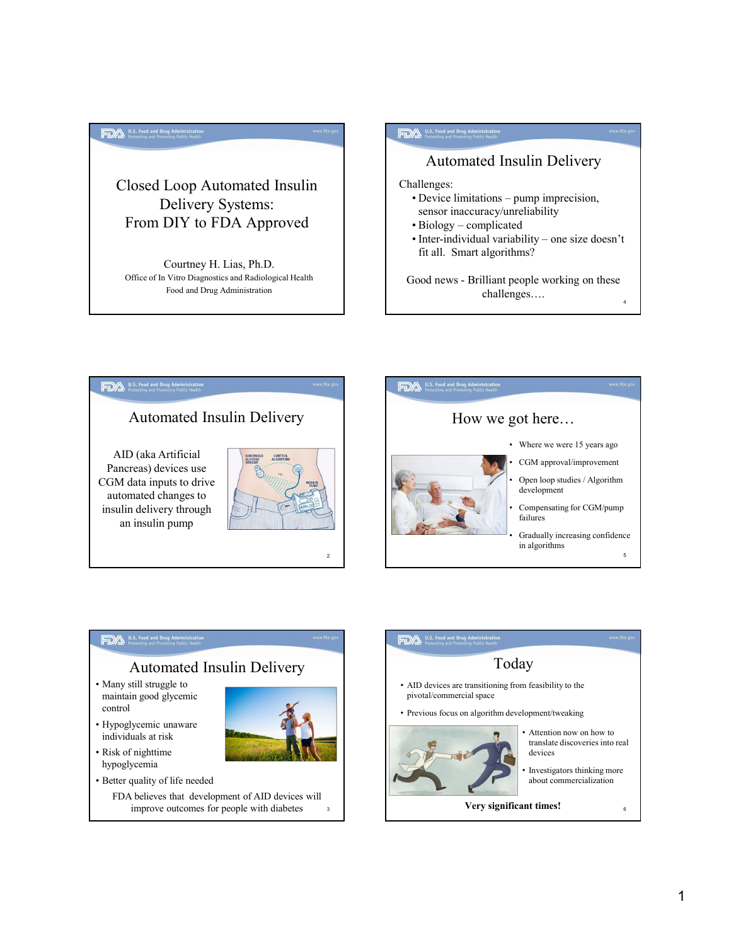### Delivery Systems: From DIY to FDA Approved

U.S. Food and Drug Admi<br>Protecting and Promoting Pub

Courtney H. Lias, Ph.D. Food and Drug Administration

# Closed Loop Automated Insulin Challenges:<br>
Device limitations – pump imprecision, Challenges: A list find in the state limit of the state limit of the state limit of the state of the state of the state of the state of the state of the state of the state of the state of the state of the state of the state of the sta sensor inaccuracy/unreliability A <sup>U.S. Food and Ding Administration<br>
Automated Insulin Delivery<br>
allenges:<br>
• Device limitations – pump imprecision,<br>
sensor inaccuracy/unreliability<br>
• Biology – complicated<br>
• Inter-individual variability – one size doe</sup> example and fine administration<br>
Automated Insulin Delivery<br>
allenges:<br>
• Device limitations – pump imprecision,<br>
sensor inaccuracy/unreliability<br>
• Biology – complicated<br>
• Inter-individual variability – one size doesn't<br> Mess the dimension of the Mathematical Conditions<br>
Automated Insulin Delivery<br>
allenges:<br>
Chevice limitations – pump imprecision,<br>
sensor inaccuracy/unreliability<br>
Biology – complicated<br>
Cher-individual variability – one s Automated Insulin Delivery

fit all. Smart algorithms?

Office of In Vitro Diagnostics and Radiological Health Good news - Brilliant people working on these challenges….





### Automated Insulin Delivery

- maintain good glycemic control
- individuals at risk

hypoglycemia



- - FDA believes that development of AID devices will improve outcomes for people with diabetes



4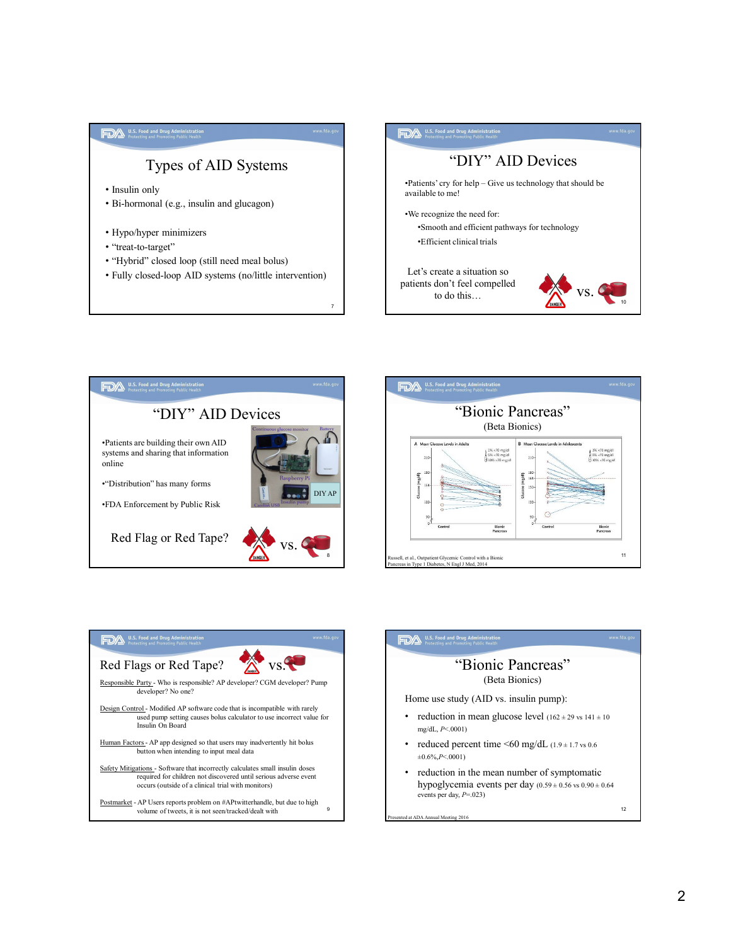









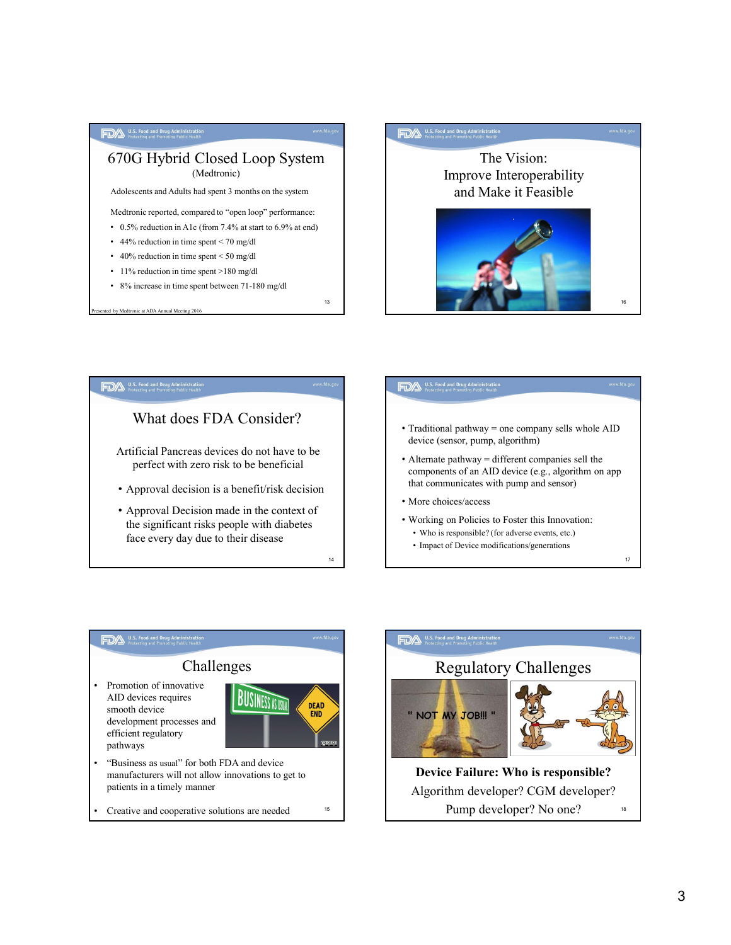





- Traditional pathway = one company sells whole AID device (sensor, pump, algorithm)
- Alternate pathway = different companies sell the components of an AID device (e.g., algorithm on app that communicates with pump and sensor)
- More choices/access
- Working on Policies to Foster this Innovation:
	-
	-



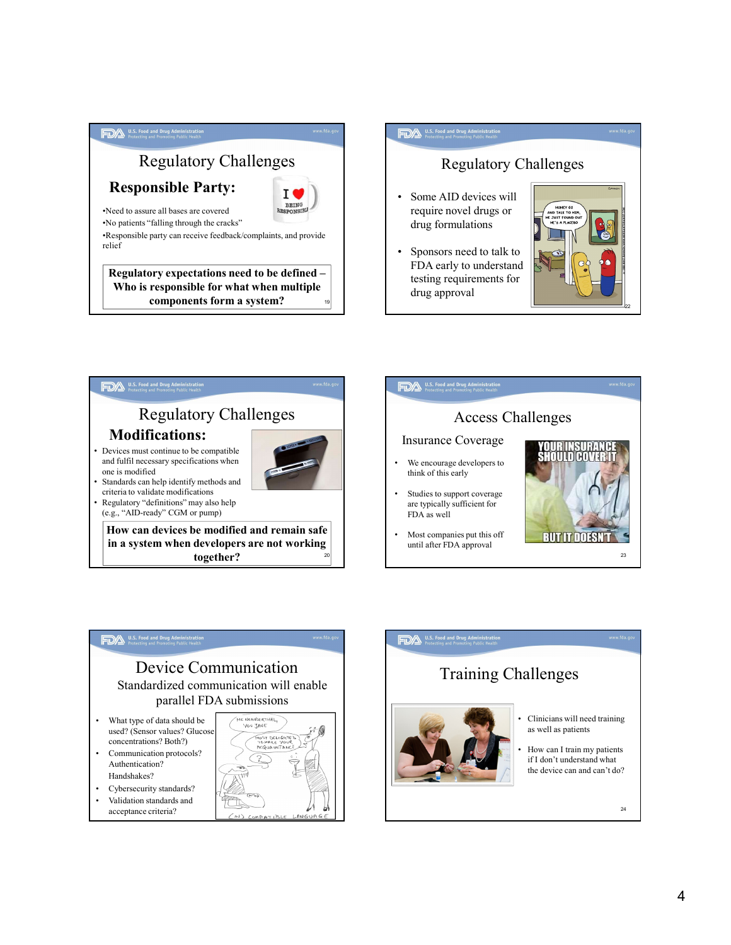

## <u>222 - Andrew Maria Barristo, amerikan personal di sebagai personal di sebagai personal di sebagai personal di</u> Regulatory Challenges FOA WERENDEN UNION<br>
Regulatory Challenges<br>
• Some AID devices will<br>
require novel drugs or<br>
drug formulations<br>
• Sponsors need to talk to<br>
FDA early to understand require novel drugs or drug formulations  $\begin{array}{|c|c|}\n\hline\n\text{P}\Delta & \text{interactions} & \text{Real lengths} \text{matrix} \\\hline\n\text{require novel drugs or } \text{drug formulations} \\\hline\n\text{Sposors need to talk to} & \text{FDA early to understand testing requirements for } \text{drug approval}\n\hline\n\end{array}$ FDA early to understand testing requirements for drug approval 22





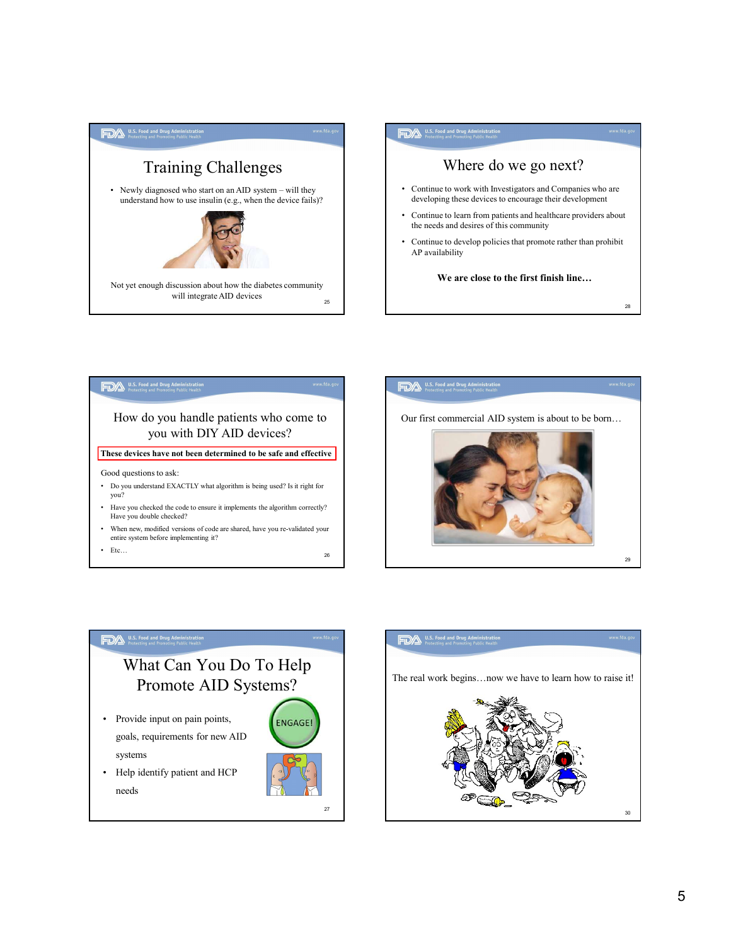









29 and 29 and 20 and 20 and 20 and 20 and 20 and 20 and 20 and 20 and 20 and 20 and 20 and 20 and 20 and 20 an